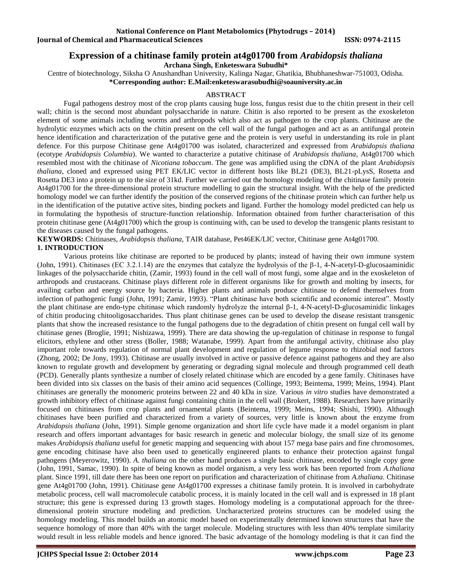# **Expression of a chitinase family protein at4g01700 from** *Arabidopsis thaliana*

**Archana Singh, Enketeswara Subudhi\***

Centre of biotechnology, Siksha O Anushandhan University, Kalinga Nagar, Ghatikia, Bhubhaneshwar-751003, Odisha. **\*Corresponding author: E.Mail[:enketeswarasubudhi@soauniversity.ac.in](mailto:enketeswarasubudhi@soauniversity.ac.in)**

#### **ABSTRACT**

Fugal pathogens destroy most of the crop plants causing huge loss, fungus resist due to the chitin present in their cell wall; chitin is the second most abundant polysaccharide in nature. Chitin is also reported to be present as the exoskeleton element of some animals including worms and arthropods which also act as pathogen to the crop plants. Chitinase are the hydrolytic enzymes which acts on the chitin present on the cell wall of the fungal pathogen and act as an antifungal protein hence identification and characterization of the putative gene and the protein is very useful in understanding its role in plant defence. For this purpose Chitinase gene At4g01700 was isolated, characterized and expressed from *Arabidopsis thaliana* (ecotype *Arabidopsis Columbia*). We wanted to characterize a putative chitinase of *Arabidopsis thaliana*, At4g01700 which resembled most with the chitinase of *Nicotiana tobaccum*. The gene was amplified using the cDNA of the plant *Arabidopsis thaliana*, cloned and expressed using PET EK/LIC vector in different hosts like BL21 (DE3), BL21-pLysS, Rosetta and Rosetta DE3 into a protein up to the size of 31kd. Further we carried out the homology modeling of the chitinase family protein At4g01700 for the three-dimensional protein structure modelling to gain the structural insight. With the help of the predicted homology model we can further identify the position of the conserved regions of the chitinase protein which can further help us in the identification of the putative active sites, binding pockets and ligand. Further the homology model predicted can help us in formulating the hypothesis of structure-function relationship. Information obtained from further characterisation of this protein chitinase gene (At4g01700) which the group is continuing with, can be used to develop the transgenic plants resistant to the diseases caused by the fungal pathogens.

**KEYWORDS:** Chitinases, *Arabidopsis thaliana,* TAIR database, Pet46EK/LIC vector, Chitinase gene At4g01700. **1. INTRODUCTION**

Various proteins like chitinase are reported to be produced by plants; instead of having their own immune system (John, 1991). Chitinases (EC 3.2.1.14) are the enzymes that catalyze the hydrolysis of the  $\beta$ -1, 4-N-acetyl-D-glucosaaminidic linkages of the polysaccharide chitin, (Zamir, 1993) found in the cell wall of most fungi, some algae and in the exoskeleton of arthropods and crustaceans. Chitinase plays different role in different organisms like for growth and molting by insects, for availing carbon and energy source by bacteria. Higher plants and animals produce chitinase to defend themselves from infection of pathogenic fungi (John, 1991; Zamir, 1993). "Plant chitinase have both scientific and economic interest". Mostly the plant chitinase are endo-type chitinase which randomly hydrolyze the internal β-1, 4-N-acetyl-D-glucosaminidic linkages of chitin producing chitooligosaccharides. Thus plant chitinase genes can be used to develop the disease resistant transgenic plants that show the increased resistance to the fungal pathogens due to the degradation of chitin present on fungal cell wall by chitinase genes (Broglie, 1991; Nishizawa, 1999). There are data showing the up-regulation of chitinase in response to fungal elicitors, ethylene and other stress (Boller, 1988; Watanabe, 1999). Apart from the antifungal activity, chitinase also play important role towards regulation of normal plant development and regulation of legume response to rhizobial nod factors (Zhong, 2002; De Jony, 1993). Chitinase are usually involved in active or passive defence against pathogens and they are also known to regulate growth and development by generating or degrading signal molecule and through programmed cell death (PCD). Generally plants synthesize a number of closely related chitinase which are encoded by a gene family. Chitinases have been divided into six classes on the basis of their amino acid sequences (Collinge, 1993; Beintema, 1999; Meins, 1994). Plant chitinases are generally the monomeric proteins between 22 and 40 kDa in size. Various *in vitro* studies have demonstrated a growth inhibitory effect of chitinase against fungi containing chitin in the cell wall (Brokert, 1988). Researchers have primarily focused on chitinases from crop plants and ornamental plants (Beintema, 1999; Meins, 1994; Shishi, 1990). Although chitinases have been purified and characterized from a variety of sources, very little is known about the enzyme from *Arabidopsis thaliana* (John, 1991). Simple genome organization and short life cycle have made it a model organism in plant research and offers important advantages for basic research in genetic and molecular biology, the small size of its genome makes *Arabidopsis thaliana* useful for genetic mapping and sequencing with about 157 mega base pairs and fine chromosomes, gene encoding chitinase have also been used to genetically engineered plants to enhance their protection against fungal pathogens (Meyerowitz, 1990). *A. thaliana* on the other hand produces a single basic chitinase, encoded by single copy gene (John, 1991, Samac, 1990). In spite of being known as model organism, a very less work has been reported from *A.thaliana* plant. Since 1991, till date there has been one report on purification and characterization of chitinase from *A.thaliana.* Chitinase gene At4g01700 (John, 1991). Chitinase gene At4g01700 expresses a chitinase family protein. It is involved in carbohydrate metabolic process, cell wall macromolecule catabolic process, it is mainly located in the cell wall and is expressed in 18 plant structure; this gene is expressed during 13 growth stages. Homology modeling is a computational approach for the threedimensional protein structure modeling and prediction. Uncharacterized proteins structures can be modeled using the homology modeling. This model builds an atomic model based on experimentally determined known structures that have the sequence homology of more than 40% with the target molecule. Modeling structures with less than 40% template similarity would result in less reliable models and hence ignored. The basic advantage of the homology modeling is that it can find the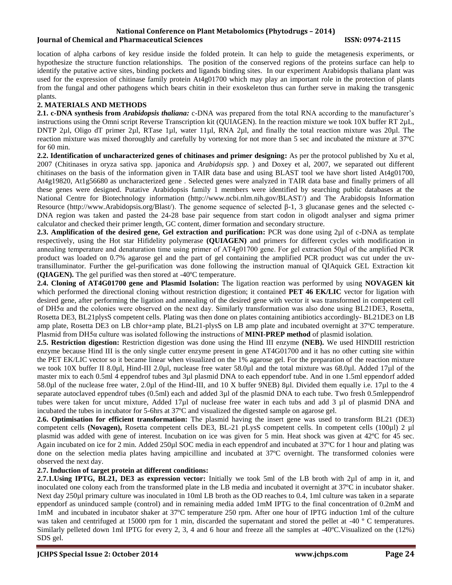location of alpha carbons of key residue inside the folded protein. It can help to guide the metagenesis experiments, or hypothesize the structure function relationships. The position of the conserved regions of the proteins surface can help to identify the putative active sites, binding pockets and ligands binding sites. In our experiment Arabidopsis thaliana plant was used for the expression of chitinase family protein At4g01700 which may play an important role in the protection of plants from the fungal and other pathogens which bears chitin in their exoskeleton thus can further serve in making the transgenic plants.

# **2. MATERIALS AND METHODS**

**2.1. c-DNA synthesis from** *Arabidopsis thaliana:* c-DNA was prepared from the total RNA according to the manufacturer's instructions using the Omni script Reverse Transcription kit (QUIAGEN). In the reaction mixture we took 10X buffer RT 2µL, DNTP 2µl, Oligo dT primer 2µl, RTase 1µl, water 11µl, RNA 2µl, and finally the total reaction mixture was 20µl. The reaction mixture was mixed thoroughly and carefully by vortexing for not more than 5 sec and incubated the mixture at 37ºC for 60 min.

**2.2. Identification of uncharacterized genes of chitinases and primer designing:** As per the protocol published by Xu et al, 2007 (Chitinases in oryza sativa spp. japonica and *Arabidopsis spp.* ) and Doxey et al, 2007, we separated out different chitinases on the basis of the information given in TAIR data base and using BLAST tool we have short listed At4g01700, At4g19820, At1g56680 as uncharacterized gene . Selected genes were analyzed in TAIR data base and finally primers of all these genes were designed. Putative Arabidopsis family 1 members were identified by searching public databases at the National Centre for Biotechnology information [\(http://www.ncbi.nlm.nih.gov/BLAST/\)](http://www.ncbi.nlm.nih.gov/BLAST/) and The Arabidopsis Information Resource [\(http://www.Arabidopsis.org/Blast/\)](http://www.arabidopsis.org/Blast/). The genome sequence of selected β-1, 3 glucanase genes and the selected c-DNA region was taken and pasted the 24-28 base pair sequence from start codon in oligodt analyser and sigma primer calculator and checked their primer length, GC content, dimer formation and secondary structure.

**2.3. Amplification of the desired gene, Gel extraction and purification:** PCR was done using 2µl of c-DNA as template respectively, using the Hot star Hifidelity polymerase **(QUIAGEN)** and primers for different cycles with modification in annealing temperature and denaturation time using primer of AT4g01700 gene. For gel extraction 50μl of the amplified PCR product was loaded on 0.7% agarose gel and the part of gel containing the amplified PCR product was cut under the uvtransilluminator. Further the gel-purification was done following the instruction manual of QIAquick GEL Extraction kit **(QIAGEN).** The gel purified was then stored at -40ºC temperature.

**2.4. Cloning of AT4G01700 gene and Plasmid Isolation:** The ligation reaction was performed by using **NOVAGEN kit** which performed the directional cloning without restriction digestion; it contained **PET 46 EK/LIC** vector for ligation with desired gene, after performing the ligation and annealing of the desired gene with vector it was transformed in competent cell of DH5α and the colonies were observed on the next day. Similarly transformation was also done using BL21DE3, Rosetta, Rosetta DE3, BL21plysS competent cells. Plating was then done on plates containing antibiotics accordingly- BL21DE3 on LB amp plate, Rosetta DE3 on LB chlor+amp plate, BL21-plysS on LB amp plate and incubated overnight at 37ºC temperature. Plasmid from DH5α culture was isolated following the instructions of **MINI-PREP method** of plasmid isolation.

**2.5. Restriction digestion:** Restriction digestion was done using the Hind III enzyme **(NEB).** We used HINDIII restriction enzyme because Hind III is the only single cutter enzyme present in gene AT4G01700 and it has no other cutting site within the PET EK/LIC vector so it became linear when visualized on the 1% agarose gel. For the preparation of the reaction mixture we took 10X buffer II 8.0µl, Hind-III 2.0µl, nuclease free water 58.0µl and the total mixture was 68.0µl. Added 17µl of the master mix to each 0.5ml 4 eppendrof tubes and 3µl plasmid DNA to each eppendorf tube. And in one 1.5ml eppendorf added 58.0µl of the nuclease free water, 2.0µl of the Hind-III, and 10 X buffer 9NEB) 8µl. Divided them equally i.e. 17µl to the 4 separate autoclaved eppendrof tubes (0.5ml) each and added 3µl of the plasmid DNA to each tube. Two fresh 0.5mleppendrof tubes were taken for uncut mixture, Added 17µl of nuclease free water in each tubs and add 3 µl of plasmid DNA and incubated the tubes in incubator for 5-6hrs at 37ºC and visualized the digested sample on agarose gel.

**2.6. Optimisation for efficient transformation:** The plasmid having the insert gene was used to transform BL21 (DE3) competent cells **(Novagen),** Rosetta competent cells DE3, BL-21 pLysS competent cells. In competent cells (100µl) 2 µl plasmid was added with gene of interest. Incubation on ice was given for 5 min. Heat shock was given at 42ºC for 45 sec. Again incubated on ice for 2 min. Added 250µl SOC media in each eppendrof and incubated at 37ºC for 1 hour and plating was done on the selection media plates having ampicilline and incubated at 37ºC overnight. The transformed colonies were observed the next day.

# **2.7. Induction of target protein at different conditions:**

**2.7.1.Using IPTG, BL21, DE3 as expression vector:** Initially we took 5ml of the LB broth with 2µl of amp in it, and inoculated one colony each from the transformed plate in the LB media and incubated it overnight at 37ºC in incubator shaker. Next day 250µl primary culture was inoculated in 10ml LB broth as the OD reaches to 0.4, 1ml culture was taken in a separate eppendorf as uninduced sample (control) and in remaining media added 1mM IPTG to the final concentration of 0.2mM and 1mM and incubated in incubator shaker at 37ºC temperature 250 rpm. After one hour of IPTG induction 1ml of the culture was taken and centrifuged at 15000 rpm for 1 min, discarded the supernatant and stored the pellet at -40 °C temperatures. Similarly pelleted down 1ml IPTG for every 2, 3, 4 and 6 hour and freeze all the samples at -40ºC.Visualized on the (12%) SDS gel.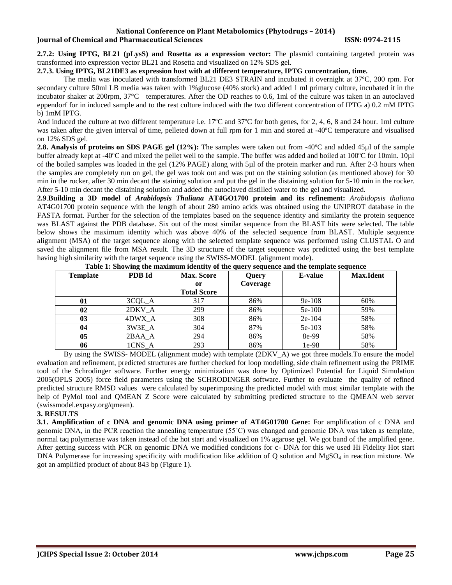**2.7.2: Using IPTG, BL21 (pLysS) and Rosetta as a expression vector:** The plasmid containing targeted protein was transformed into expression vector BL21 and Rosetta and visualized on 12% SDS gel.

#### **2.7.3. Using IPTG, BL21DE3 as expression host with at different temperature, IPTG concentration, time.**

The media was inoculated with transformed BL21 DE3 STRAIN and incubated it overnight at 37ºC, 200 rpm. For secondary culture 50ml LB media was taken with 1%glucose (40% stock) and added 1 ml primary culture, incubated it in the incubator shaker at 200rpm, 37°C temperatures. After the OD reaches to 0.6, 1ml of the culture was taken in an autoclaved eppendorf for in induced sample and to the rest culture induced with the two different concentration of IPTG a) 0.2 mM IPTG b) 1mM IPTG.

And induced the culture at two different temperature i.e. 17ºC and 37ºC for both genes, for 2, 4, 6, 8 and 24 hour. 1ml culture was taken after the given interval of time, pelleted down at full rpm for 1 min and stored at -40°C temperature and visualised on 12% SDS gel.

**2.8. Analysis of proteins on SDS PAGE gel (12%):** The samples were taken out from -40ºC and added 45µl of the sample buffer already kept at -40<sup>o</sup>C and mixed the pellet well to the sample. The buffer was added and boiled at 100<sup>o</sup>C for 10min. 10µl of the boiled samples was loaded in the gel (12% PAGE) along with 5µl of the protein marker and run. After 2-3 hours when the samples are completely run on gel, the gel was took out and was put on the staining solution (as mentioned above) for 30 min in the rocker, after 30 min decant the staining solution and put the gel in the distaining solution for 5-10 min in the rocker. After 5-10 min decant the distaining solution and added the autoclaved distilled water to the gel and visualized.

**2.9**.**Building a 3D model of** *Arabidopsis Thaliana* **AT4GO1700 protein and its refinement:** *Arabidopsis thaliana* AT4G01700 protein sequence with the length of about 280 amino acids was obtained using the UNIPROT database in the FASTA format. Further for the selection of the templates based on the sequence identity and similarity the protein sequence was BLAST against the PDB database. Six out of the most similar sequence from the BLAST hits were selected. The table below shows the maximum identity which was above 40% of the selected sequence from BLAST. Multiple sequence alignment (MSA) of the target sequence along with the selected template sequence was performed using CLUSTAL O and saved the alignment file from MSA result. The 3D structure of the target sequence was predicted using the best template having high similarity with the target sequence using the SWISS-MODEL (alignment mode).

| <b>Template</b> | PDB Id | <b>Max. Score</b>  | <b>Query</b> | E-value  | <b>Max.Ident</b> |
|-----------------|--------|--------------------|--------------|----------|------------------|
|                 |        | 0r                 | Coverage     |          |                  |
|                 |        | <b>Total Score</b> |              |          |                  |
| 01              | 3CQL_A | 317                | 86%          | $9e-108$ | 60%              |
| 02              | 2DKV A | 299                | 86%          | $5e-100$ | 59%              |
| 03              | 4DWX A | 308                | 86%          | $2e-104$ | 58%              |
| 04              | 3W3E A | 304                | 87%          | $5e-103$ | 58%              |
| 05              | 2BAA A | 294                | 86%          | 8e-99    | 58%              |
| 06              | 1CNS A | 293                | 86%          | 1e-98    | 58%              |

Table 1: Showing the maximum identity of the query sequence and the temp

By using the SWISS- MODEL (alignment mode) with template (2DKV\_A) we got three models.To ensure the model evaluation and refinement, predicted structures are further checked for loop modelling, side chain refinement using the PRIME tool of the Schrodinger software. Further energy minimization was done by Optimized Potential for Liquid Simulation 2005(OPLS 2005) force field parameters using the SCHRODINGER software. Further to evaluate the quality of refined predicted structure RMSD values were calculated by superimposing the predicted model with most similar template with the help of PyMol tool and QMEAN Z Score were calculated by submitting predicted structure to the QMEAN web server (swissmodel.expasy.org/qmean).

# **3. RESULTS**

**3.1. Amplification of c DNA and genomic DNA using primer of AT4G01700 Gene:** For amplification of c DNA and genomic DNA, in the PCR reaction the annealing temperature (55˚C) was changed and genomic DNA was taken as template, normal taq polymerase was taken instead of the hot start and visualized on 1% agarose gel. We got band of the amplified gene. After getting success with PCR on genomic DNA we modified conditions for c- DNA for this we used Hi Fidelity Hot start DNA Polymerase for increasing specificity with modification like addition of  $Q$  solution and MgSO<sub>4</sub> in reaction mixture. We got an amplified product of about 843 bp (Figure 1).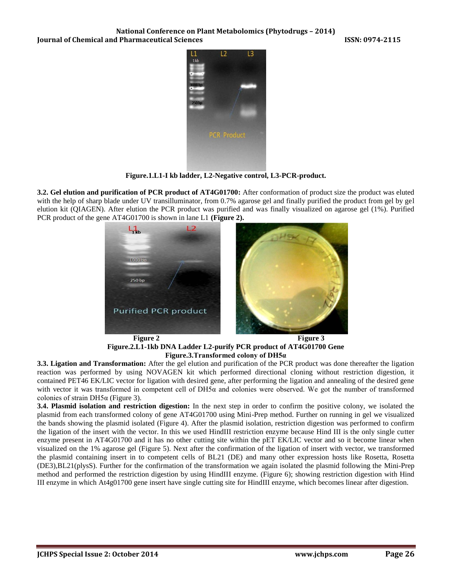

**Figure.1.L1-I kb ladder, L2-Negative control, L3-PCR-product.**

**3.2. Gel elution and purification of PCR product of AT4G01700:** After conformation of product size the product was eluted with the help of sharp blade under UV transilluminator, from 0.7% agarose gel and finally purified the product from gel by gel elution kit (QIAGEN). After elution the PCR product was purified and was finally visualized on agarose gel (1%). Purified PCR product of the gene AT4G01700 is shown in lane L1 **(Figure 2).**



**Figure 2** Figure 3 **Figure.2.L1-1kb DNA Ladder L2-purify PCR product of AT4G01700 Gene Figure.3.Transformed colony of DH5α**

**3.3. Ligation and Transformation:** After the gel elution and purification of the PCR product was done thereafter the ligation reaction was performed by using NOVAGEN kit which performed directional cloning without restriction digestion, it contained PET46 EK/LIC vector for ligation with desired gene, after performing the ligation and annealing of the desired gene with vector it was transformed in competent cell of DH5α and colonies were observed. We got the number of transformed colonies of strain DH5 $\alpha$  (Figure 3).

**3.4. Plasmid isolation and restriction digestion:** In the next step in order to confirm the positive colony, we isolated the plasmid from each transformed colony of gene AT4G01700 using Mini-Prep method. Further on running in gel we visualized the bands showing the plasmid isolated (Figure 4). After the plasmid isolation, restriction digestion was performed to confirm the ligation of the insert with the vector. In this we used HindIII restriction enzyme because Hind III is the only single cutter enzyme present in AT4G01700 and it has no other cutting site within the pET EK/LIC vector and so it become linear when visualized on the 1% agarose gel (Figure 5). Next after the confirmation of the ligation of insert with vector, we transformed the plasmid containing insert in to competent cells of BL21 (DE) and many other expression hosts like Rosetta, Rosetta (DE3),BL21(plysS). Further for the confirmation of the transformation we again isolated the plasmid following the Mini-Prep method and performed the restriction digestion by using HindIII enzyme. (Figure 6); showing restriction digestion with Hind III enzyme in which At4g01700 gene insert have single cutting site for HindIII enzyme, which becomes linear after digestion.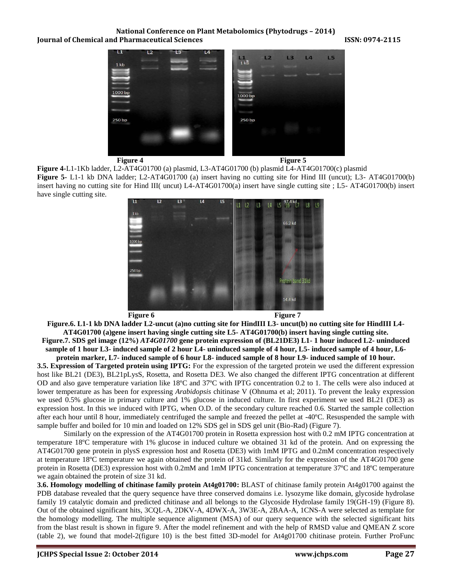



**Figure 4-**L1-1Kb ladder, L2-AT4G01700 (a) plasmid, L3-AT4G01700 (b) plasmid L4-AT4G01700(c) plasmid **Figure 5-** L1-1 kb DNA ladder; L2-AT4G01700 (a) insert having no cutting site for Hind III (uncut); L3- AT4G01700(b) insert having no cutting site for Hind III( uncut) L4-AT4G01700(a) insert have single cutting site ; L5- AT4G01700(b) insert have single cutting site.



**Figure.6. L1-1 kb DNA ladder L2-uncut (a)no cutting site for HindIII L3- uncut(b) no cutting site for HindIII L4- AT4G01700 (a)gene insert having single cutting site L5- AT4G01700(b) insert having single cutting site. Figure.7. SDS gel image (12%)** *AT4G01700* **gene protein expression of (BL21DE3) L1- 1 hour induced L2- uninduced sample of 1 hour L3- induced sample of 2 hour L4- uninduced sample of 4 hour, L5- induced sample of 4 hour, L6-**

**protein marker, L7- induced sample of 6 hour L8- induced sample of 8 hour L9- induced sample of 10 hour. 3.5. Expression of Targeted protein using IPTG:** For the expression of the targeted protein we used the different expression host like BL21 (DE3), BL21pLysS, Rosetta, and Rosetta DE3. We also changed the different IPTG concentration at different OD and also gave temperature variation like 18ºC and 37ºC with IPTG concentration 0.2 to 1. The cells were also induced at lower temperature as has been for expressing *Arabidopsis* chitinase V (Ohnuma et al; 2011). To prevent the leaky expression we used 0.5% glucose in primary culture and 1% glucose in induced culture. In first experiment we used BL21 (DE3) as expression host. In this we induced with IPTG, when O.D. of the secondary culture reached 0.6. Started the sample collection after each hour until 8 hour, immediately centrifuged the sample and freezed the pellet at -40ºC. Resuspended the sample with sample buffer and boiled for 10 min and loaded on 12% SDS gel in SDS gel unit (Bio-Rad) (Figure 7).

Similarly on the expression of the AT4G01700 protein in Rosetta expression host with 0.2 mM IPTG concentration at temperature 18ºC temperature with 1% glucose in induced culture we obtained 31 kd of the protein. And on expressing the AT4G01700 gene protein in plysS expression host and Rosetta (DE3) with 1mM IPTG and 0.2mM concentration respectively at temperature 18ºC temperature we again obtained the protein of 31kd. Similarly for the expression of the AT4G01700 gene protein in Rosetta (DE3) expression host with 0.2mM and 1mM IPTG concentration at temperature 37ºC and 18ºC temperature we again obtained the protein of size 31 kd.

**3.6. Homology modelling of chitinase family protein At4g01700:** BLAST of chitinase family protein At4g01700 against the PDB database revealed that the query sequence have three conserved domains i.e. lysozyme like domain, glycoside hydrolase family 19 catalytic domain and predicted chitinase and all belongs to the Glycoside Hydrolase family 19(GH-19) (Figure 8). Out of the obtained significant hits, 3CQL-A, 2DKV-A, 4DWX-A, 3W3E-A, 2BAA-A, 1CNS-A were selected as template for the homology modelling. The multiple sequence alignment (MSA) of our query sequence with the selected significant hits from the blast result is shown in figure 9. After the model refinement and with the help of RMSD value and QMEAN Z score (table 2), we found that model-2(figure 10) is the best fitted 3D-model for At4g01700 chitinase protein. Further ProFunc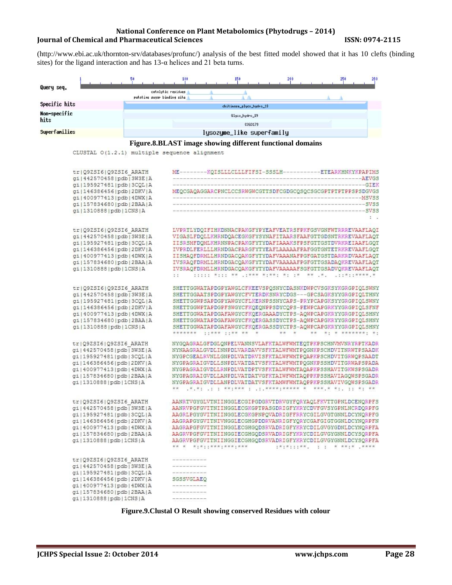[\(http://www.ebi.ac.uk/thornton-srv/databases/profunc/\)](http://www.ebi.ac.uk/thornton-srv/databases/profunc/) analysis of the best fitted model showed that it has 10 clefts (binding sites) for the ligand interaction and has  $13-\alpha$  helices and 21 beta turns.

| Query seq.                                                       | catalytic residues<br>putative sugar binding site                                                                                 |  |  |  |
|------------------------------------------------------------------|-----------------------------------------------------------------------------------------------------------------------------------|--|--|--|
| Specific hits                                                    | chitinase_glyco_hydro_19                                                                                                          |  |  |  |
| Non-specific                                                     | Glyco_hydro_19                                                                                                                    |  |  |  |
| hits                                                             | C0G3179                                                                                                                           |  |  |  |
| Superfamilies                                                    | lysozyme_like superfamily                                                                                                         |  |  |  |
|                                                                  |                                                                                                                                   |  |  |  |
|                                                                  | Figure.8.BLAST image showing different functional domains                                                                         |  |  |  |
| CLUSTAL 0(1.2.1) multiple sequence alignment                     |                                                                                                                                   |  |  |  |
|                                                                  |                                                                                                                                   |  |  |  |
| tr Q9ZSI6 Q9ZSI6 ARATH                                           | ME--------- KQISLLLCLLLFIFSI-SSSLH------------ETEARKHNKYKPAPIMS                                                                   |  |  |  |
| gi   442570458   pdb   3W3E   A                                  |                                                                                                                                   |  |  |  |
| gi 195927481 pdb 3CQL A                                          | GIEK                                                                                                                              |  |  |  |
| gi 146386456 pdb 2DKV A                                          | MEQCGAQAGGARCPNCLCCSRWGWCGTTSDFCGDGCQSQCSGCGPTPTPTPFSPSDGVGS                                                                      |  |  |  |
| gi   400977413   pdb   4DWX   A                                  | --MSVSS                                                                                                                           |  |  |  |
| gi   157834680   pdb   2BAA   A                                  | -SVSS                                                                                                                             |  |  |  |
| gi   1310888   pdb   1CNS   A                                    | SVSS                                                                                                                              |  |  |  |
|                                                                  | $\mathbb{R}$ .                                                                                                                    |  |  |  |
| tr Q9ZSI6 Q9ZSI6 ARATH                                           | LVPRTLYDQIFIHKDNNACPAKGFYPYEAFVEATRSFPKFGSVGNFWTRRREVAAFLAQI                                                                      |  |  |  |
| qi 442570458 pdb 3W3E A                                          | VIGASLFDQLLKHRNDQACEGKGFYSYNAFITAARSFAAFGTTGDSNTRKREVAAFLAQT                                                                      |  |  |  |
| gi 195927481 pdb 3CQL A                                          | IISRSMFDOMLKHRNNPACPAKGFYTYDAFIAAAKSFPSFGTTGSTDVRKREIAAFLGOT                                                                      |  |  |  |
| gi 146386456 pdb 2DKV A                                          | IVPRDLFERLLLHRNDGACPARGFYTYEAFLAAAAAFPAFGGTGNTETRKREVAAFLGQT                                                                      |  |  |  |
| gi   400977413   pdb   4DWX   A                                  | IISHAQFDRMLLHRNDGACQAKGFYTYDAFVAAANAFPGFGATGSTDARKRDVAAFLAQT                                                                      |  |  |  |
| gi   157834680   pdb   2BAA   A                                  | IVSRAQFDRMLLHRNDGACQAKGFYTYDAFVAAAAAFPGFGTTGSADAQKREVAAFLAQT                                                                      |  |  |  |
| gi 1310888 pdb 1CNS A                                            | IVSRAQFDRMLLHRNDGACQAKGFYTYDAFVAAAAAFSGFGTTGSADVQKREVAAFLAQT<br>iiiii Xiii XX ,iXXX XiXXI XI IX XX ,X,<br>1.1<br>$.11*11****$ , * |  |  |  |
|                                                                  |                                                                                                                                   |  |  |  |
| tr Q9ZSI6 Q9ZSI6 ARATH                                           | SHETTGGWATAPDGPYAWGLCFKEEVSPQSNYCDASNKDWPCVSGKSYKGRGPIQLSWNY                                                                      |  |  |  |
| gi   442570458   pdb   3W3E   A                                  | SHETTGGAATSPDGPYAWGYCFVTERDKSNRYCDGS---GPCSAGKSYYGRGPIQLTHNY                                                                      |  |  |  |
| gi 195927481 pdb 3CQL A                                          | SHETTGGWPSAPDGPYAWGYCFLKERNPSSNYCAPS-PRYPCAPGKSYYGRGPIQLSWNY                                                                      |  |  |  |
| gi   146386456   pdb   2DKV   A                                  | SHETTGGWPTAPDGPFSWGYCFKQEQNPPSDYCQPS-PEWPCAPGRKYYGRGPIQLSFNF                                                                      |  |  |  |
| gi   400977413   pdb   4DWX   A                                  | SHETTGGWATAPDGAFAWGYCFKQERGAAADYCTPS-AQWPCAPGKRYYGRGPIQLSHNY                                                                      |  |  |  |
| gi   157834680   pdb   2BAA   A<br>gi   1310888   pdb   1CNS   A | SHETTGGWATAPDGAFAWGYCFKQERGASSDYCTPS-AQWPCAPGKRYYGRGPIQLSHNY<br>SHETTGGWATAPDGAFAWGYCFKQERGASSDYCTPS-AQWPCAPGKRYYGRGPIQLSHNY      |  |  |  |
|                                                                  | ******* **** **** **<br>** * ******** **<br>**                                                                                    |  |  |  |
|                                                                  |                                                                                                                                   |  |  |  |
| tr Q9ZSI6 Q9ZSI6 ARATH<br>gi   442570458   pdb   3W3E   A        | NYGQAGRALGFDGLQNPELVANNSVLAFKTALWFWMTEQTPKPSCHNVMVNRYRPTKADR<br>NYNAAGRALGVDLINNPDLVARDAVVSFKTALWFWMTPQGNKPSCHDVITNRWTPSAADK      |  |  |  |
| gi 195927481 pdb 3CQL A                                          | NYGPCGEALRVNLLGNPDLVATDRVISFKTALWFWMTPQAPKPSCHDVITGRWQPSAADT                                                                      |  |  |  |
| gi 146386456 pdb 2DKV A                                          | NYGPAGRAIGVDLLSNPDLVATDATVSFKTALWFWMTPQGNKPSSHDVITGRWAPSPADA                                                                      |  |  |  |
| gi   400977413   pdb   4DWX   A                                  | NYGPAGRAIGVDLLRNPDLVATDPTVSFKTALWFWMTAQAPKPSSHAVITGKWSPSGADR                                                                      |  |  |  |
| gi   157834680   pdb   2BAA   A                                  | NYGPAGRAIGVDLLANPDLVATDATVGFKTAIWFWMTAQPPKPSSHAVIAGQWSPSGADR                                                                      |  |  |  |
| gi   1310888   pdb   1CNS   A                                    | NYGPAGRAIGVDLLANPDLVATDATVSFKTAMWFWMTAQPPKPSSHAVIVGQWSPSGADR                                                                      |  |  |  |
|                                                                  | 小说,我怎么儿怎么怎么我的?我的我一点,儿怎么我的我的?我的我的我的,我一起我的,我一起怎么 医舌下的舌下的的                                                                           |  |  |  |
| tr Q92SI6 Q92SI6 ARATH                                           | AANRIVGYGLVINIINGGLECGIPGDGRVIDRVGYFQRYAQLFKVITGPNLDCENQRPFS                                                                      |  |  |  |
| qi 442570458 pdb 3W3E A                                          | AANRVPGFGVITNIINGGLECGKGPTPASGDRIGFYKRYCDVFGVSYGPNLNCRDQRPFG                                                                      |  |  |  |
| qi 195927481 pdb 3CQL A                                          | AAGRLPGYGVITNIINGGLECGKGPNPQVADRIGFFRRYCGILGVGTGNNLDCYNQRPFG                                                                      |  |  |  |
| gi   146386456   pdb   2DKV   A                                  | AAGRAPGYGVITNIVNGGLECGHGPDDRVANRIGFYQRYCGAFGIGTGGNLDCYNQRPFN                                                                      |  |  |  |
| gi   400977413   pdb   4DWX   A                                  | AAGRAPGFGVITNIINGGLECGHGQDSRVADRIGFYKRYCDILGVGYGDNLDCYNQRPFA                                                                      |  |  |  |
| gi   157834680   pdb   2BAA   A                                  | AAGRVPGFGVITNIINGGIECGHGQDSRVADRIGFYKRYCDILGVGYGNNLDCYSQRPFA                                                                      |  |  |  |
| gi   1310888   pdb   1CNS   A                                    | AAGRVPGFGVITNIINGGIECGHGQDSRVADRIGFYKRYCDILGVGYGNNLDCYSQRPFA                                                                      |  |  |  |
|                                                                  | $1\#1\#111\#1$ , $1\#1\#1\#1\#1$ , $1\#1\#1\#1$<br>** * *:*::***:***:***                                                          |  |  |  |
| tr Q9ZSI6 Q9ZSI6 ARATH                                           | --------------                                                                                                                    |  |  |  |
| gi   442570458   pdb   3W3E   A                                  | best low has been best from the form and the state                                                                                |  |  |  |
| gi   195927481   pdb   3CQL   A                                  | ----------------                                                                                                                  |  |  |  |
| gi 146386456 pdb 2DKV A                                          | SGSSVGLAEQ                                                                                                                        |  |  |  |
| gi   400977413   pdb   4DWX   A                                  | -------------                                                                                                                     |  |  |  |
| gi 157834680 pdb 2BAA A                                          |                                                                                                                                   |  |  |  |
| gi   1310888   pdb   1CNS   A                                    |                                                                                                                                   |  |  |  |

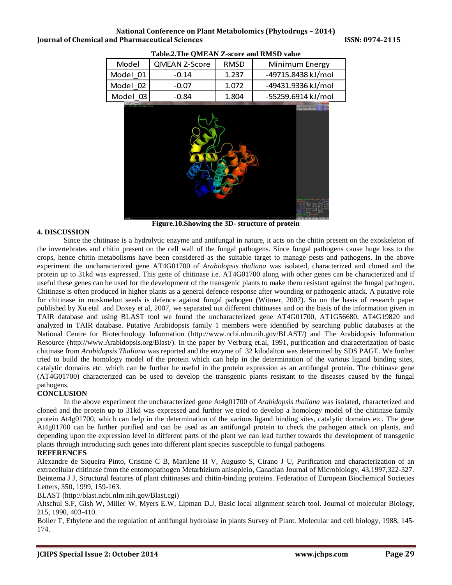| Model            | <b>QMEAN Z-Score</b> | <b>RMSD</b> | Minimum Energy     |
|------------------|----------------------|-------------|--------------------|
| Model 01         | $-0.14$              | 1.237       | -49715.8438 kJ/mol |
| Model 02         | $-0.07$              | 1.072       | -49431.9336 kJ/mol |
| Model 03         | $-0.84$              | 1.804       | -55259.6914 kJ/mol |
| <b>MOLViewer</b> |                      |             |                    |

**Table.2.The QMEAN Z-score and RMSD value**



**Figure.10.Showing the 3D- structure of protein**

# **4. DISCUSSION**

Since the chitinase is a hydrolytic enzyme and antifungal in nature, it acts on the chitin present on the exoskeleton of the invertebrates and chitin present on the cell wall of the fungal pathogens. Since fungal pathogens cause huge loss to the crops, hence chitin metabolisms have been considered as the suitable target to manage pests and pathogens. In the above experiment the uncharacterized gene AT4G01700 of *Arabidopsis thaliana* was isolated, characterized and cloned and the protein up to 31kd was expressed. This gene of chitinase i.e. AT4G01700 along with other genes can be characterized and if useful these genes can be used for the development of the transgenic plants to make them resistant against the fungal pathogen. Chitinase is often produced in higher plants as a general defence response after wounding or pathogenic attack. A putative role for chitinase in muskmelon seeds is defence against fungal pathogen (Witmer, 2007). So on the basis of research paper published by Xu etal and Doxey et al, 2007, we separated out different chitinases and on the basis of the information given in TAIR database and using BLAST tool we found the uncharacterized gene AT4G01700, AT1G56680, AT4G19820 and analyzed in TAIR database. Putative Arabidopsis family 1 members were identified by searching public databases at the National Centre for Biotechnology Information [\(http://www.ncbi.nlm.nih.gov/BLAST/\)](http://www.ncbi.nlm.nih.gov/BLAST/) and The Arabidopsis Information Resource [\(http://www.Arabidopsis.org/Blast/\)](http://www.arabidopsis.org/Blast/). In the paper by Verburg et.al, 1991, purification and characterization of basic chitinase from *Arabidopsis Thaliana* was reported and the enzyme of 32 kilodalton was determined by SDS PAGE. We further tried to build the homology model of the protein which can help in the determination of the various ligand binding sites, catalytic domains etc. which can be further be useful in the protein expression as an antifungal protein. The chitinase gene (AT4G01700) characterized can be used to develop the transgenic plants resistant to the diseases caused by the fungal pathogens.

# **CONCLUSION**

In the above experiment the uncharacterized gene At4g01700 of *Arabidopsis thaliana* was isolated, characterized and cloned and the protein up to 31kd was expressed and further we tried to develop a homology model of the chitinase family protein At4g01700, which can help in the determination of the various ligand binding sites, catalytic domains etc. The gene At4g01700 can be further purified and can be used as an antifungal protein to check the pathogen attack on plants, and depending upon the expression level in different parts of the plant we can lead further towards the development of transgenic plants through introducing such genes into different plant species susceptible to fungal pathogens.

# **REFERENCES**

Alexandre de Siqueira Pinto, Cristine C B, Marilene H V, Augusto S, Cirano J U, Purification and characterization of an extracellular chitinase from the entomopathogen Metarhizium anisopleio, Canadian Journal of Microbiology, 43,1997,322-327. Beintema J J, Structural features of plant chitinases and chitin-binding proteins. Federation of European Biochemical Societies Letters, 350, 1999, 159-163.

BLAST [\(http://blast.ncbi.nlm.nih.gov/Blast.cgi\)](http://blast.ncbi.nlm.nih.gov/Blast.cgi)

Altschul S.F, Gish W, Miller W, Myers E.W, Lipman D.J, Basic local alignment search tool. Journal of molecular Biology, 215, 1990, 403-410.

Boller T, Ethylene and the regulation of antifungal hydrolase in plants Survey of Plant. Molecular and cell biology, 1988, 145- 174.